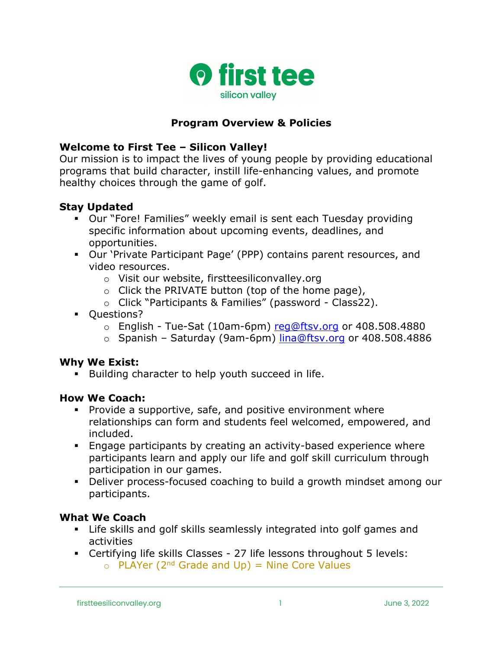

## **Program Overview & Policies**

#### **Welcome to First Tee – Silicon Valley!**

Our mission is to impact the lives of young people by providing educational programs that build character, instill life-enhancing values, and promote healthy choices through the game of golf.

#### **Stay Updated**

- § Our "Fore! Families" weekly email is sent each Tuesday providing specific information about upcoming events, deadlines, and opportunities.
- § Our 'Private Participant Page' (PPP) contains parent resources, and video resources.
	- o Visit our website, firstteesiliconvalley.org
	- $\circ$  Click the PRIVATE button (top of the home page),
	- o Click "Participants & Families" (password Class22).
- § Questions?
	- $\circ$  English Tue-Sat (10am-6pm) reg@ftsv.org or 408.508.4880
	- o Spanish Saturday (9am-6pm) lina@ftsv.org or 408.508.4886

#### **Why We Exist:**

**•** Building character to help youth succeed in life.

#### **How We Coach:**

- § Provide a supportive, safe, and positive environment where relationships can form and students feel welcomed, empowered, and included.
- § Engage participants by creating an activity-based experience where participants learn and apply our life and golf skill curriculum through participation in our games.
- § Deliver process-focused coaching to build a growth mindset among our participants.

#### **What We Coach**

- § Life skills and golf skills seamlessly integrated into golf games and activities
- § Certifying life skills Classes 27 life lessons throughout 5 levels:
	- $\circ$  PLAYer (2<sup>nd</sup> Grade and Up) = Nine Core Values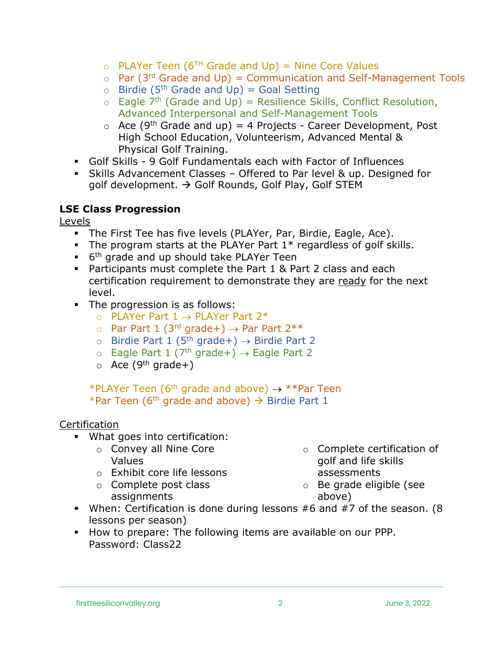- $\circ$  PLAYer Teen (6<sup>TH</sup> Grade and Up) = Nine Core Values
- $\circ$  Par (3<sup>rd</sup> Grade and Up) = Communication and Self-Management Tools
- $\circ$  Birdie (5<sup>th</sup> Grade and Up) = Goal Setting
- $\circ$  Eagle 7<sup>th</sup> (Grade and Up) = Resilience Skills, Conflict Resolution, Advanced Interpersonal and Self-Management Tools
- $\circ$  Ace (9<sup>th</sup> Grade and up) = 4 Projects Career Development, Post High School Education, Volunteerism, Advanced Mental & Physical Golf Training.
- § Golf Skills 9 Golf Fundamentals each with Factor of Influences
- § Skills Advancement Classes Offered to Par level & up. Designed for golf development.  $\rightarrow$  Golf Rounds, Golf Play, Golf STEM

## **LSE Class Progression**

Levels

- § The First Tee has five levels (PLAYer, Par, Birdie, Eagle, Ace).
- **•** The program starts at the PLAYer Part  $1*$  regardless of golf skills.
- $\bullet$  6<sup>th</sup> grade and up should take PLAYer Teen
- § Participants must complete the Part 1 & Part 2 class and each certification requirement to demonstrate they are ready for the next level.
- The progression is as follows:
	- $\circ$  PLAYer Part 1  $\rightarrow$  PLAYer Part 2\*
	- o Par Part 1 (3<sup>rd</sup> grade+)  $\rightarrow$  Par Part 2\*\*
	- o Birdie Part 1 (5<sup>th</sup> grade+)  $\rightarrow$  Birdie Part 2
	- $\circ$  Eagle Part 1 (7<sup>th</sup> grade+)  $\rightarrow$  Eagle Part 2
	- $\circ$  Ace (9<sup>th</sup> grade+)

\*PLAYer Teen (6<sup>th</sup> grade and above)  $\rightarrow$  \*\*Par Teen \*Par Teen (6<sup>th</sup> grade and above)  $\rightarrow$  Birdie Part 1

# **Certification**

- What goes into certification:
	- o Convey all Nine Core Values
	- o Exhibit core life lessons
	- o Complete post class assignments
- o Complete certification of golf and life skills assessments
- o Be grade eligible (see above)
- § When: Certification is done during lessons #6 and #7 of the season. (8 lessons per season)
- § How to prepare: The following items are available on our PPP. Password: Class22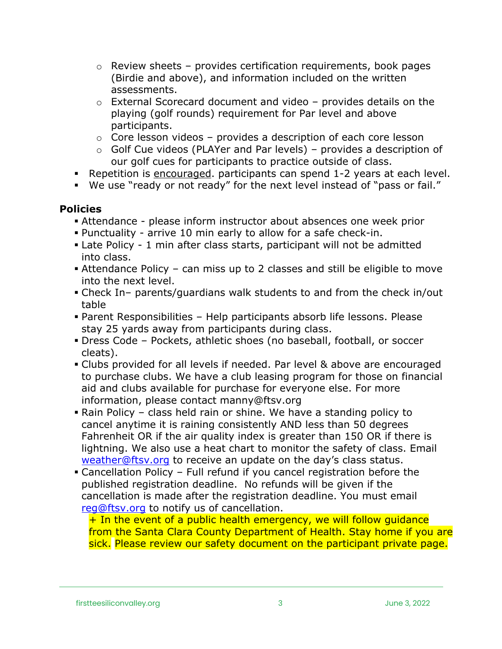- $\circ$  Review sheets provides certification requirements, book pages (Birdie and above), and information included on the written assessments.
- $\circ$  External Scorecard document and video provides details on the playing (golf rounds) requirement for Par level and above participants.
- o Core lesson videos provides a description of each core lesson
- $\circ$  Golf Cue videos (PLAYer and Par levels) provides a description of our golf cues for participants to practice outside of class.
- § Repetition is encouraged. participants can spend 1-2 years at each level.
- § We use "ready or not ready" for the next level instead of "pass or fail."

# **Policies**

- § Attendance please inform instructor about absences one week prior
- § Punctuality arrive 10 min early to allow for a safe check-in.
- Late Policy 1 min after class starts, participant will not be admitted into class.
- § Attendance Policy can miss up to 2 classes and still be eligible to move into the next level.
- § Check In– parents/guardians walk students to and from the check in/out table
- § Parent Responsibilities Help participants absorb life lessons. Please stay 25 yards away from participants during class.
- § Dress Code Pockets, athletic shoes (no baseball, football, or soccer cleats).
- § Clubs provided for all levels if needed. Par level & above are encouraged to purchase clubs. We have a club leasing program for those on financial aid and clubs available for purchase for everyone else. For more information, please contact manny@ftsv.org
- Rain Policy class held rain or shine. We have a standing policy to cancel anytime it is raining consistently AND less than 50 degrees Fahrenheit OR if the air quality index is greater than 150 OR if there is lightning. We also use a heat chart to monitor the safety of class. Email weather@ftsv.org to receive an update on the day's class status.
- Cancellation Policy Full refund if you cancel registration before the published registration deadline. No refunds will be given if the cancellation is made after the registration deadline. You must email reg@ftsv.org to notify us of cancellation.

 $+$  In the event of a public health emergency, we will follow quidance from the Santa Clara County Department of Health. Stay home if you are sick. Please review our safety document on the participant private page.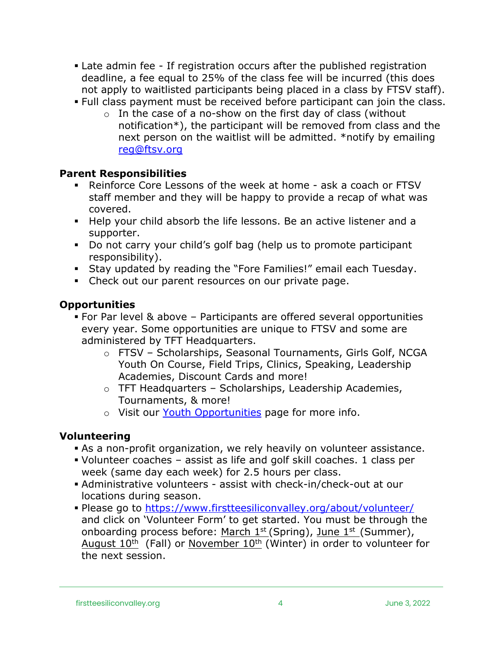- Late admin fee If registration occurs after the published registration deadline, a fee equal to 25% of the class fee will be incurred (this does not apply to waitlisted participants being placed in a class by FTSV staff).
- § Full class payment must be received before participant can join the class.
	- $\circ$  In the case of a no-show on the first day of class (without notification\*), the participant will be removed from class and the next person on the waitlist will be admitted. \*notify by emailing reg@ftsv.org

## **Parent Responsibilities**

- § Reinforce Core Lessons of the week at home ask a coach or FTSV staff member and they will be happy to provide a recap of what was covered.
- § Help your child absorb the life lessons. Be an active listener and a supporter.
- § Do not carry your child's golf bag (help us to promote participant responsibility).
- § Stay updated by reading the "Fore Families!" email each Tuesday.
- Check out our parent resources on our private page.

## **Opportunities**

- § For Par level & above Participants are offered several opportunities every year. Some opportunities are unique to FTSV and some are administered by TFT Headquarters.
	- o FTSV Scholarships, Seasonal Tournaments, Girls Golf, NCGA Youth On Course, Field Trips, Clinics, Speaking, Leadership Academies, Discount Cards and more!
	- o TFT Headquarters Scholarships, Leadership Academies, Tournaments, & more!
	- o Visit our Youth Opportunities page for more info.

## **Volunteering**

- § As a non-profit organization, we rely heavily on volunteer assistance.
- § Volunteer coaches assist as life and golf skill coaches. 1 class per week (same day each week) for 2.5 hours per class.
- § Administrative volunteers assist with check-in/check-out at our locations during season.
- § Please go to https://www.firstteesiliconvalley.org/about/volunteer/ and click on 'Volunteer Form' to get started. You must be through the onboarding process before: March  $1^{st}$  (Spring), June  $1^{st}$  (Summer), August  $10^{th}$  (Fall) or November  $10^{th}$  (Winter) in order to volunteer for the next session.